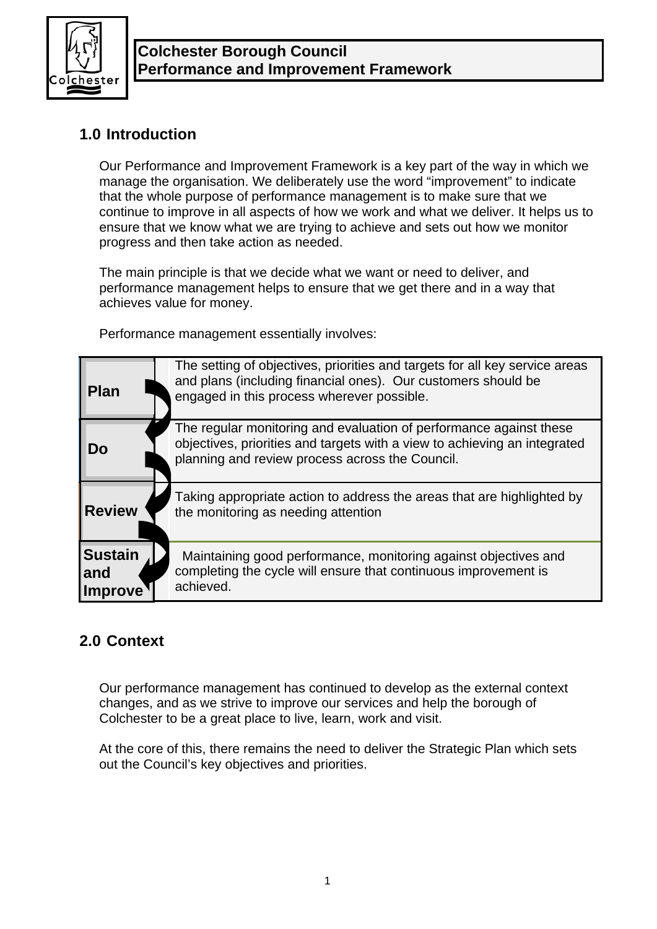

# **1.0 Introduction**

Our Performance and Improvement Framework is a key part of the way in which we manage the organisation. We deliberately use the word "improvement" to indicate that the whole purpose of performance management is to make sure that we continue to improve in all aspects of how we work and what we deliver. It helps us to ensure that we know what we are trying to achieve and sets out how we monitor progress and then take action as needed.

The main principle is that we decide what we want or need to deliver, and performance management helps to ensure that we get there and in a way that achieves value for money.

Performance management essentially involves:

| <b>Plan</b>                             | The setting of objectives, priorities and targets for all key service areas<br>and plans (including financial ones). Our customers should be<br>engaged in this process wherever possible.         |
|-----------------------------------------|----------------------------------------------------------------------------------------------------------------------------------------------------------------------------------------------------|
| Do                                      | The regular monitoring and evaluation of performance against these<br>objectives, priorities and targets with a view to achieving an integrated<br>planning and review process across the Council. |
| <b>Review</b>                           | Taking appropriate action to address the areas that are highlighted by<br>the monitoring as needing attention                                                                                      |
| <b>Sustain</b><br>and<br><b>Improve</b> | Maintaining good performance, monitoring against objectives and<br>completing the cycle will ensure that continuous improvement is<br>achieved.                                                    |

# **2.0 Context**

Our performance management has continued to develop as the external context changes, and as we strive to improve our services and help the borough of Colchester to be a great place to live, learn, work and visit.

At the core of this, there remains the need to deliver the Strategic Plan which sets out the Council's key objectives and priorities.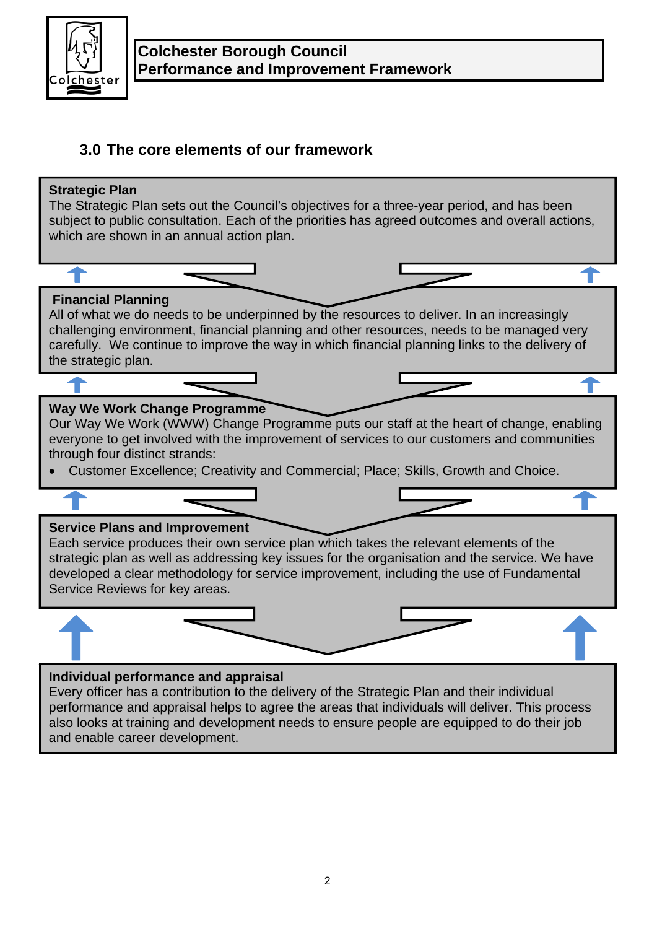

# **3.0 The core elements of our framework**

# **Individual performance and appraisal**  Every officer has a contribution to the delivery of the Strategic Plan and their individual **Service Plans and Improvement**  Each service produces their own service plan which takes the relevant elements of the strategic plan as well as addressing key issues for the organisation and the service. We have developed a clear methodology for service improvement, including the use of Fundamental Service Reviews for key areas. **Way We Work Change Programme**  Our Way We Work (WWW) Change Programme puts our staff at the heart of change, enabling everyone to get involved with the improvement of services to our customers and communities through four distinct strands: • Customer Excellence; Creativity and Commercial; Place; Skills, Growth and Choice. **Financial Planning**  All of what we do needs to be underpinned by the resources to deliver. In an increasingly challenging environment, financial planning and other resources, needs to be managed very carefully. We continue to improve the way in which financial planning links to the delivery of the strategic plan. **Strategic Plan**  The Strategic Plan sets out the Council's objectives for a three-year period, and has been subject to public consultation. Each of the priorities has agreed outcomes and overall actions, which are shown in an annual action plan.

performance and appraisal helps to agree the areas that individuals will deliver. This process also looks at training and development needs to ensure people are equipped to do their job and enable career development.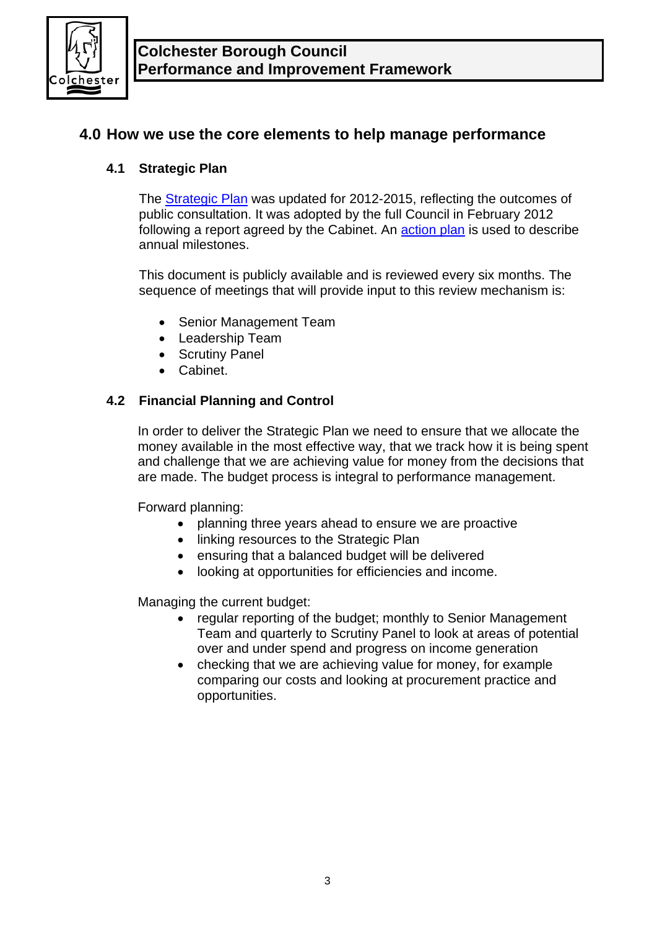

# **4.0 How we use the core elements to help manage performance**

# **4.1 Strategic Plan**

The [Strategic Plan](http://www.colchester.gov.uk/article/2087/The-Councils-Strategic-Plan-2012-15) was updated for 2012-2015, reflecting the outcomes of public consultation. It was adopted by the full Council in February 2012 following a report agreed by the Cabinet. An **action plan** is used to describe annual milestones.

This document is publicly available and is reviewed every six months. The sequence of meetings that will provide input to this review mechanism is:

- Senior Management Team
- Leadership Team
- Scrutiny Panel
- Cabinet.

# **4.2 Financial Planning and Control**

In order to deliver the Strategic Plan we need to ensure that we allocate the money available in the most effective way, that we track how it is being spent and challenge that we are achieving value for money from the decisions that are made. The budget process is integral to performance management.

Forward planning:

- planning three years ahead to ensure we are proactive
- linking resources to the Strategic Plan
- ensuring that a balanced budget will be delivered
- looking at opportunities for efficiencies and income.

Managing the current budget:

- regular reporting of the budget; monthly to Senior Management Team and quarterly to Scrutiny Panel to look at areas of potential over and under spend and progress on income generation
- checking that we are achieving value for money, for example comparing our costs and looking at procurement practice and opportunities.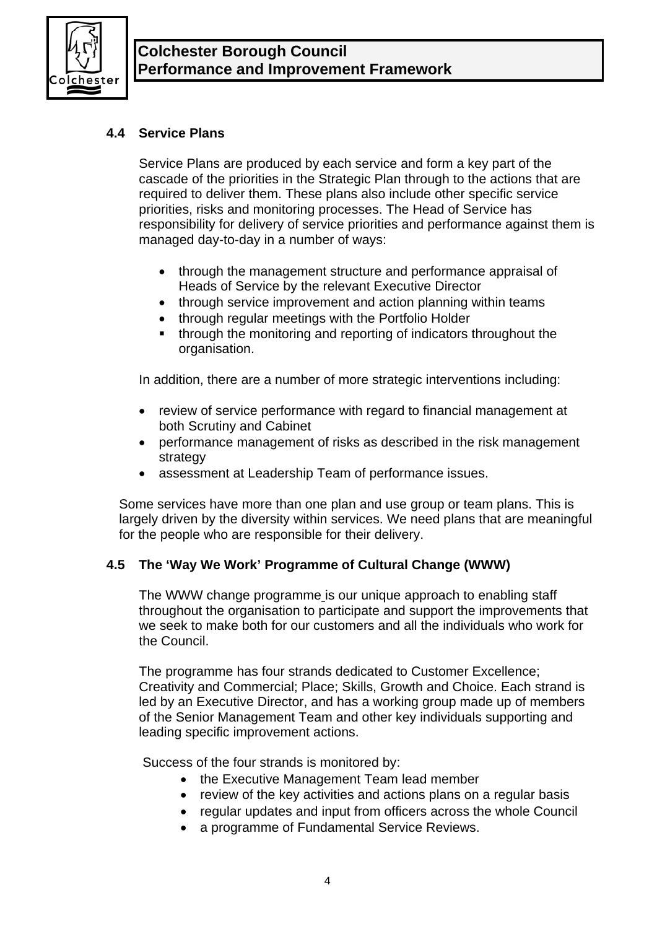

# **4.4 Service Plans**

Service Plans are produced by each service and form a key part of the cascade of the priorities in the Strategic Plan through to the actions that are required to deliver them. These plans also include other specific service priorities, risks and monitoring processes. The Head of Service has responsibility for delivery of service priorities and performance against them is managed day-to-day in a number of ways:

- through the management structure and performance appraisal of Heads of Service by the relevant Executive Director
- through service improvement and action planning within teams
- through regular meetings with the Portfolio Holder
- through the monitoring and reporting of indicators throughout the organisation.

In addition, there are a number of more strategic interventions including:

- review of service performance with regard to financial management at both Scrutiny and Cabinet
- performance management of risks as described in the risk management strategy
- assessment at Leadership Team of performance issues.

Some services have more than one plan and use group or team plans. This is largely driven by the diversity within services. We need plans that are meaningful for the people who are responsible for their delivery.

# **4.5 The 'Way We Work' Programme of Cultural Change (WWW)**

The WWW change programme is our unique approach to enabling staff throughout the organisation to participate and support the improvements that we seek to make both for our customers and all the individuals who work for the Council.

The programme has four strands dedicated to Customer Excellence; Creativity and Commercial; Place; Skills, Growth and Choice. Each strand is led by an Executive Director, and has a working group made up of members of the Senior Management Team and other key individuals supporting and leading specific improvement actions.

Success of the four strands is monitored by:

- the Executive Management Team lead member
- review of the key activities and actions plans on a regular basis
- regular updates and input from officers across the whole Council
- a programme of Fundamental Service Reviews.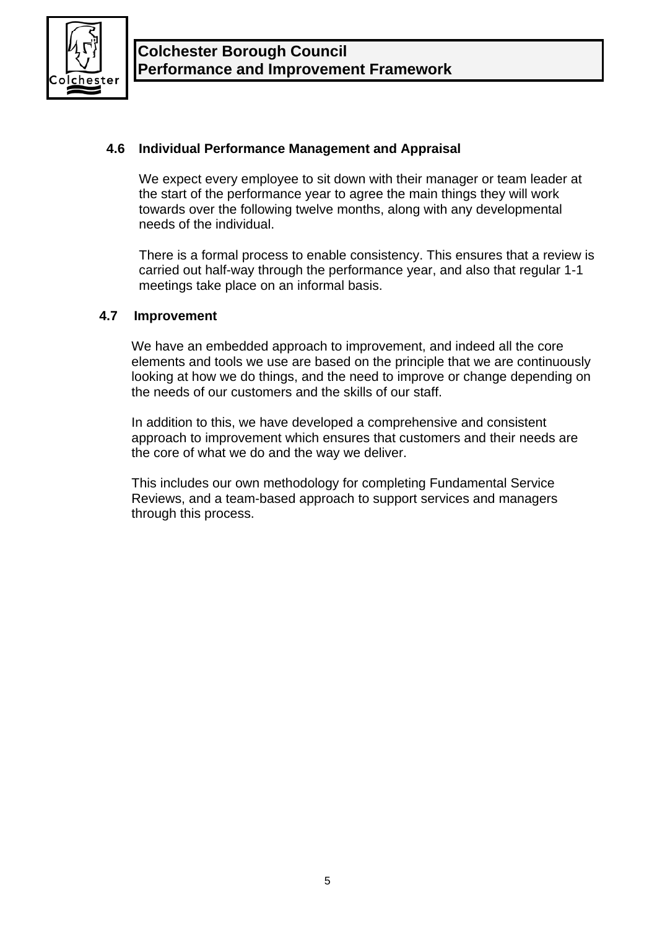

# **4.6 Individual Performance Management and Appraisal**

We expect every employee to sit down with their manager or team leader at the start of the performance year to agree the main things they will work towards over the following twelve months, along with any developmental needs of the individual.

There is a formal process to enable consistency. This ensures that a review is carried out half-way through the performance year, and also that regular 1-1 meetings take place on an informal basis.

## **4.7 Improvement**

We have an embedded approach to improvement, and indeed all the core elements and tools we use are based on the principle that we are continuously looking at how we do things, and the need to improve or change depending on the needs of our customers and the skills of our staff.

In addition to this, we have developed a comprehensive and consistent approach to improvement which ensures that customers and their needs are the core of what we do and the way we deliver.

This includes our own methodology for completing Fundamental Service Reviews, and a team-based approach to support services and managers through this process.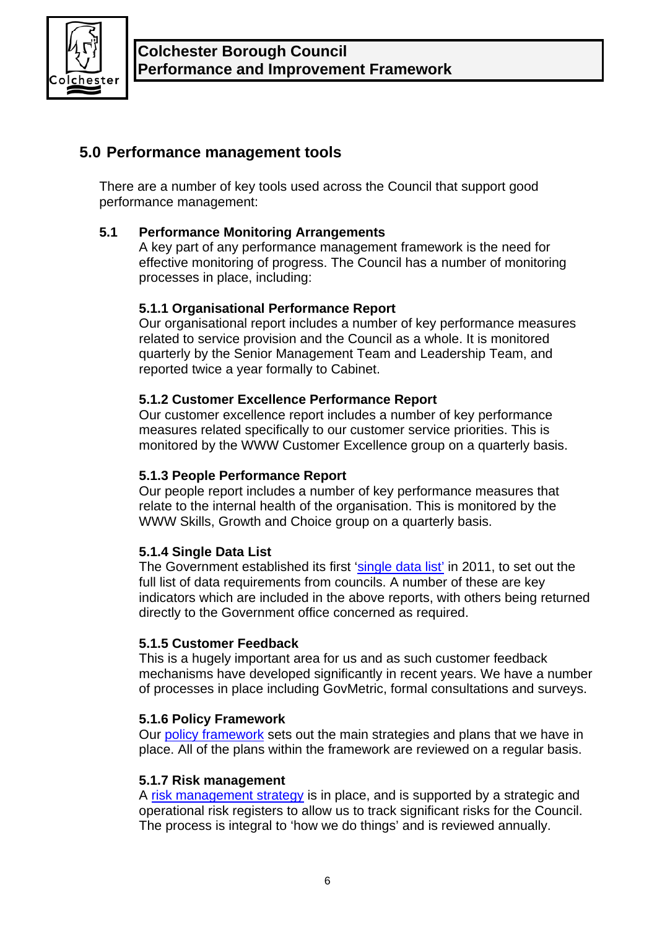

# **5.0 Performance management tools**

There are a number of key tools used across the Council that support good performance management:

# **5.1 Performance Monitoring Arrangements**

A key part of any performance management framework is the need for effective monitoring of progress. The Council has a number of monitoring processes in place, including:

# **5.1.1 Organisational Performance Report**

Our organisational report includes a number of key performance measures related to service provision and the Council as a whole. It is monitored quarterly by the Senior Management Team and Leadership Team, and reported twice a year formally to Cabinet.

# **5.1.2 Customer Excellence Performance Report**

Our customer excellence report includes a number of key performance measures related specifically to our customer service priorities. This is monitored by the WWW Customer Excellence group on a quarterly basis.

## **5.1.3 People Performance Report**

Our people report includes a number of key performance measures that relate to the internal health of the organisation. This is monitored by the WWW Skills, Growth and Choice group on a quarterly basis.

## **5.1.4 Single Data List**

The Government established its first ['single data list'](http://www.communities.gov.uk/localgovernment/decentralisation/tacklingburdens/singledatalist/) in 2011, to set out the full list of data requirements from councils. A number of these are key indicators which are included in the above reports, with others being returned directly to the Government office concerned as required.

## **5.1.5 Customer Feedback**

This is a hugely important area for us and as such customer feedback mechanisms have developed significantly in recent years. We have a number of processes in place including GovMetric, formal consultations and surveys.

## **5.1.6 Policy Framework**

Our [policy framework](http://hub.colchester.gov.uk/article/6115/Way-We-Work) sets out the main strategies and plans that we have in place. All of the plans within the framework are reviewed on a regular basis.

## **5.1.7 Risk management**

A [risk management strategy](http://hub.colchester.gov.uk/article/6115/Way-We-Work) is in place, and is supported by a strategic and operational risk registers to allow us to track significant risks for the Council. The process is integral to 'how we do things' and is reviewed annually.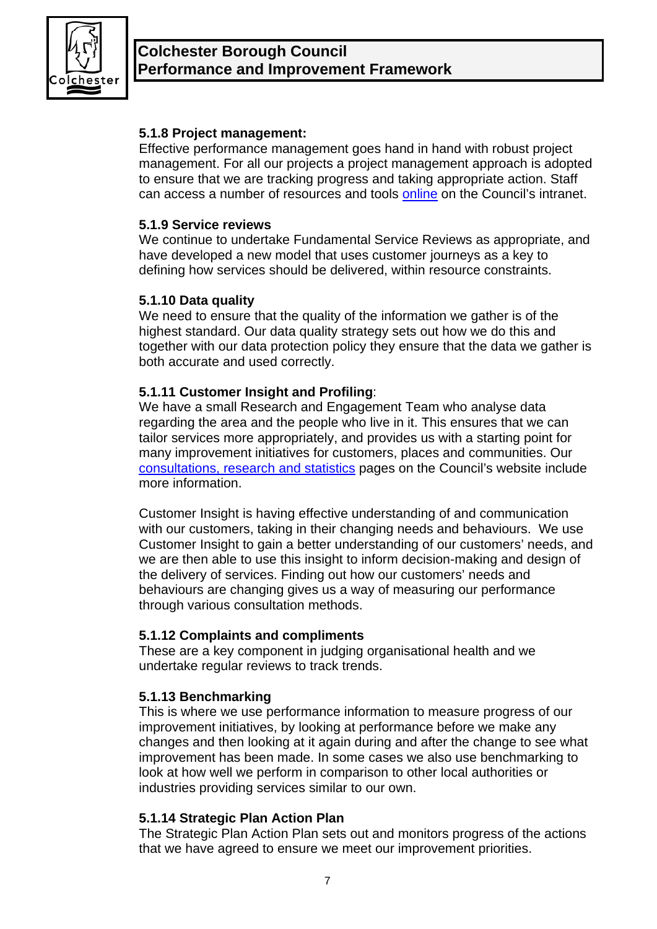

# **5.1.8 Project management:**

Effective performance management goes hand in hand with robust project management. For all our projects a project management approach is adopted to ensure that we are tracking progress and taking appropriate action. Staff can access a number of resources and tools [online](http://hub.colchester.gov.uk/article/6145/Project-Management) on the Council's intranet.

#### **5.1.9 Service reviews**

We continue to undertake Fundamental Service Reviews as appropriate, and have developed a new model that uses customer journeys as a key to defining how services should be delivered, within resource constraints.

## **5.1.10 Data quality**

We need to ensure that the quality of the information we gather is of the highest standard. Our data quality strategy sets out how we do this and together with our data protection policy they ensure that the data we gather is both accurate and used correctly.

## **5.1.11 Customer Insight and Profiling**:

We have a small Research and Engagement Team who analyse data regarding the area and the people who live in it. This ensures that we can tailor services more appropriately, and provides us with a starting point for many improvement initiatives for customers, places and communities. Our [consultations, research and statistics](http://www.colchester.gov.uk/consultations) pages on the Council's website include more information.

Customer Insight is having effective understanding of and communication with our customers, taking in their changing needs and behaviours. We use Customer Insight to gain a better understanding of our customers' needs, and we are then able to use this insight to inform decision-making and design of the delivery of services. Finding out how our customers' needs and behaviours are changing gives us a way of measuring our performance through various consultation methods.

## **5.1.12 Complaints and compliments**

These are a key component in judging organisational health and we undertake regular reviews to track trends.

## **5.1.13 Benchmarking**

This is where we use performance information to measure progress of our improvement initiatives, by looking at performance before we make any changes and then looking at it again during and after the change to see what improvement has been made. In some cases we also use benchmarking to look at how well we perform in comparison to other local authorities or industries providing services similar to our own.

## **5.1.14 Strategic Plan Action Plan**

The Strategic Plan Action Plan sets out and monitors progress of the actions that we have agreed to ensure we meet our improvement priorities.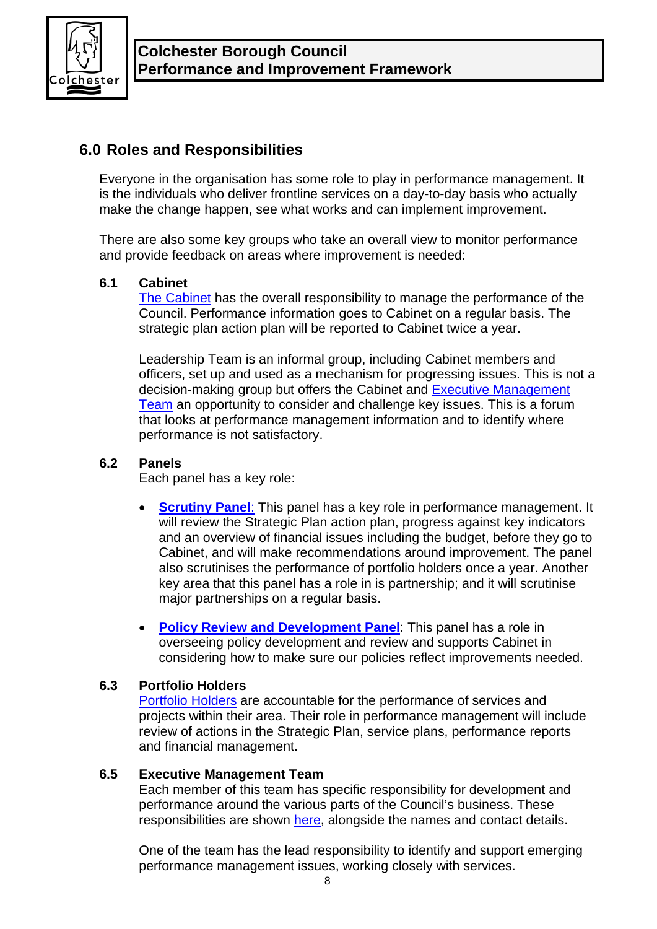

# **6.0 Roles and Responsibilities**

Everyone in the organisation has some role to play in performance management. It is the individuals who deliver frontline services on a day-to-day basis who actually make the change happen, see what works and can implement improvement.

There are also some key groups who take an overall view to monitor performance and provide feedback on areas where improvement is needed:

# **6.1 Cabinet**

[The Cabinet](http://www.colchester.gov.uk/article/1940/Cabinet-Members-and-Portfolio-Holders) has the overall responsibility to manage the performance of the Council. Performance information goes to Cabinet on a regular basis. The strategic plan action plan will be reported to Cabinet twice a year.

Leadership Team is an informal group, including Cabinet members and officers, set up and used as a mechanism for progressing issues. This is not a decision-making group but offers the Cabinet and [Executive Management](http://www.colchester.gov.uk/managementteam)  [Team](http://www.colchester.gov.uk/managementteam) an opportunity to consider and challenge key issues. This is a forum that looks at performance management information and to identify where performance is not satisfactory.

# **6.2 Panels**

Each panel has a key role:

- **[Scrutiny Panel](http://tmf.colchester.gov.uk/Committee_det.asp?art_id=36738&sec_id=2668&arch=0):** This panel has a key role in performance management. It will review the Strategic Plan action plan, progress against key indicators and an overview of financial issues including the budget, before they go to Cabinet, and will make recommendations around improvement. The panel also scrutinises the performance of portfolio holders once a year. Another key area that this panel has a role in is partnership; and it will scrutinise major partnerships on a regular basis.
- **[Policy Review and Development Panel](http://tmf.colchester.gov.uk/Committee_det.asp?art_id=12080&sec_id=2668&arch=0)**: This panel has a role in overseeing policy development and review and supports Cabinet in considering how to make sure our policies reflect improvements needed.

## **6.3 Portfolio Holders**

[Portfolio Holders](http://www.colchester.gov.uk/article/1940/Cabinet-Members-and-Portfolio-Holders) are accountable for the performance of services and projects within their area. Their role in performance management will include review of actions in the Strategic Plan, service plans, performance reports and financial management.

## **6.5 Executive Management Team**

Each member of this team has specific responsibility for development and performance around the various parts of the Council's business. These responsibilities are shown [here,](http://www.colchester.gov.uk/managementteam) alongside the names and contact details.

One of the team has the lead responsibility to identify and support emerging performance management issues, working closely with services.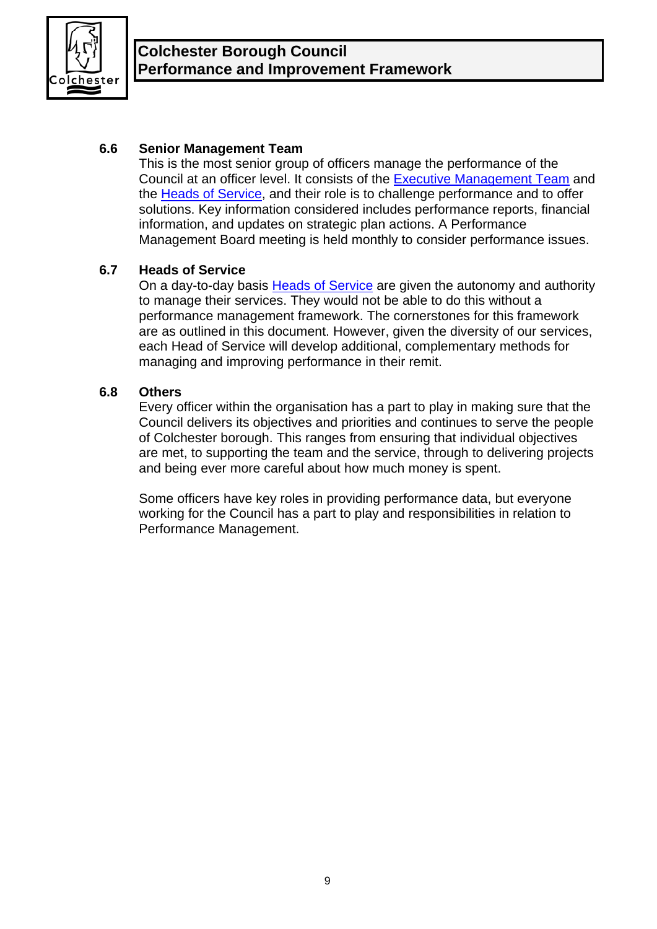

# **6.6 Senior Management Team**

This is the most senior group of officers manage the performance of the Council at an officer level. It consists of the [Executive Management Team](http://www.colchester.gov.uk/managementteam) and the [Heads of Service](http://www.colchester.gov.uk/article/1978/Heads-of-Service), and their role is to challenge performance and to offer solutions. Key information considered includes performance reports, financial information, and updates on strategic plan actions. A Performance Management Board meeting is held monthly to consider performance issues.

# **6.7 Heads of Service**

On a day-to-day basis [Heads of Service](http://www.colchester.gov.uk/article/1978/Heads-of-Service) are given the autonomy and authority to manage their services. They would not be able to do this without a performance management framework. The cornerstones for this framework are as outlined in this document. However, given the diversity of our services, each Head of Service will develop additional, complementary methods for managing and improving performance in their remit.

## **6.8 Others**

Every officer within the organisation has a part to play in making sure that the Council delivers its objectives and priorities and continues to serve the people of Colchester borough. This ranges from ensuring that individual objectives are met, to supporting the team and the service, through to delivering projects and being ever more careful about how much money is spent.

Some officers have key roles in providing performance data, but everyone working for the Council has a part to play and responsibilities in relation to Performance Management.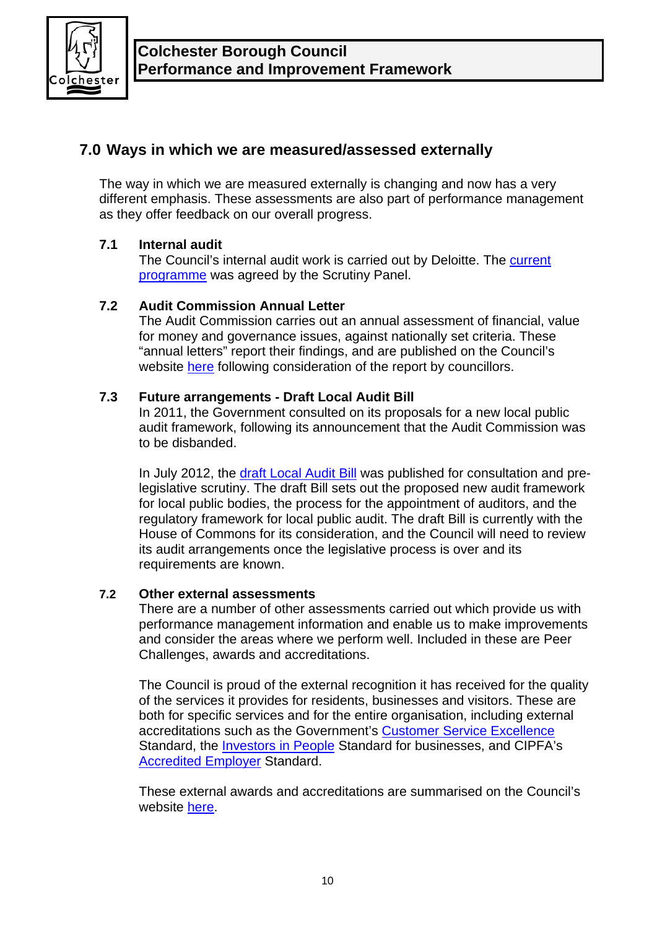

# **7.0 Ways in which we are measured/assessed externally**

The way in which we are measured externally is changing and now has a very different emphasis. These assessments are also part of performance management as they offer feedback on our overall progress.

# **7.1 Internal audit**

The Council's internal audit work is carried out by Deloitte. The [current](http://www.colchester.gov.uk/CHttpHandler.ashx?id=10578&p=0)  [programme](http://www.colchester.gov.uk/CHttpHandler.ashx?id=10578&p=0) was agreed by the Scrutiny Panel.

# **7.2 Audit Commission Annual Letter**

The Audit Commission carries out an annual assessment of financial, value for money and governance issues, against nationally set criteria. These "annual letters" report their findings, and are published on the Council's website [here](http://colchester.gov.uk/annualauditletter) following consideration of the report by councillors.

# **7.3 Future arrangements - Draft Local Audit Bill**

In 2011, the Government consulted on its proposals for a new local public audit framework, following its announcement that the Audit Commission was to be disbanded.

In July 2012, the [draft Local Audit Bill](http://www.colchester.gov.uk/article/7171/Draft-Local-Audit-Bill---local-government) was published for consultation and prelegislative scrutiny. The draft Bill sets out the proposed new audit framework for local public bodies, the process for the appointment of auditors, and the regulatory framework for local public audit. The draft Bill is currently with the House of Commons for its consideration, and the Council will need to review its audit arrangements once the legislative process is over and its requirements are known.

# **7.2 Other external assessments**

There are a number of other assessments carried out which provide us with performance management information and enable us to make improvements and consider the areas where we perform well. Included in these are Peer Challenges, awards and accreditations.

The Council is proud of the external recognition it has received for the quality of the services it provides for residents, businesses and visitors. These are both for specific services and for the entire organisation, including external accreditations such as the Government's [Customer Service Excellence](http://www.customerserviceexcellence.uk.com/) Standard, the [Investors in People](http://hub.colchester.gov.uk/article/6115/Way-We-Work) Standard for businesses, and CIPFA's [Accredited Employer](http://colchester.gov.uk/article/7254/CIPFA---CPD-accredited-employer) Standard.

These external awards and accreditations are summarised on the Council's website [here](http://colchester.gov.uk/achievements).